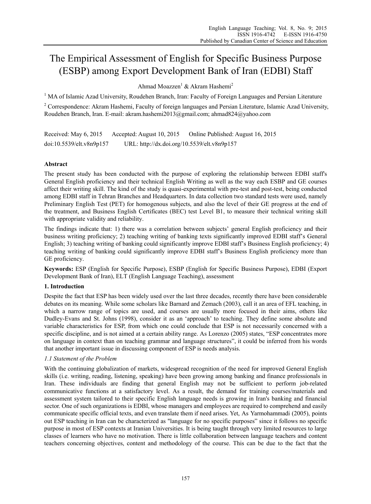# The Empirical Assessment of English for Specific Business Purpose (ESBP) among Export Development Bank of Iran (EDBI) Staff

Ahmad Moazzen<sup>1</sup> & Akram Hashemi<sup>2</sup>

<sup>1</sup> MA of Islamic Azad University, Roudehen Branch, Iran: Faculty of Foreign Languages and Persian Literature

<sup>2</sup> Correspondence: Akram Hashemi, Faculty of foreign languages and Persian Literature, Islamic Azad University, Roudehen Branch, Iran. E-mail: akram.hashemi2013@gmail.com; ahmad824@yahoo.com

Received: May 6, 2015 Accepted: August 10, 2015 Online Published: August 16, 2015 doi:10.5539/elt.v8n9p157 URL: http://dx.doi.org/10.5539/elt.v8n9p157

# **Abstract**

The present study has been conducted with the purpose of exploring the relationship between EDBI staff's General English proficiency and their technical English Writing as well as the way each ESBP and GE courses affect their writing skill. The kind of the study is quasi-experimental with pre-test and post-test, being conducted among EDBI staff in Tehran Branches and Headquarters. In data collection two standard tests were used, namely Preliminary English Test (PET) for homogenous subjects, and also the level of their GE progress at the end of the treatment, and Business English Certificates (BEC) test Level B1, to measure their technical writing skill with appropriate validity and reliability.

The findings indicate that: 1) there was a correlation between subjects' general English proficiency and their business writing proficiency; 2) teaching writing of banking texts significantly improved EDBI staff's General English; 3) teaching writing of banking could significantly improve EDBI staff's Business English proficiency; 4) teaching writing of banking could significantly improve EDBI staff's Business English proficiency more than GE proficiency.

**Keywords:** ESP (English for Specific Purpose), ESBP (English for Specific Business Purpose), EDBI (Export Development Bank of Iran), ELT (English Language Teaching), assessment

# **1. Introduction**

Despite the fact that ESP has been widely used over the last three decades, recently there have been considerable debates on its meaning. While some scholars like Barnard and Zemach (2003), call it an area of EFL teaching, in which a narrow range of topics are used, and courses are usually more focused in their aims, others like Dudley-Evans and St. Johns (1998), consider it as an 'approach' to teaching. They define some absolute and variable characteristics for ESP, from which one could conclude that ESP is not necessarily concerned with a specific discipline, and is not aimed at a certain ability range. As Lorenzo (2005) states, "ESP concentrates more on language in context than on teaching grammar and language structures", it could be inferred from his words that another important issue in discussing component of ESP is needs analysis.

# *1.1 Statement of the Problem*

With the continuing globalization of markets, widespread recognition of the need for improved General English skills (i.e. writing, reading, listening, speaking) have been growing among banking and finance professionals in Iran. These individuals are finding that general English may not be sufficient to perform job-related communicative functions at a satisfactory level. As a result, the demand for training courses/materials and assessment system tailored to their specific English language needs is growing in Iran's banking and financial sector. One of such organizations is EDBI, whose managers and employees are required to comprehend and easily communicate specific official texts, and even translate them if need arises. Yet, As Yarmohammadi (2005), points out ESP teaching in Iran can be characterized as "language for no specific purposes" since it follows no specific purpose in most of ESP contexts at Iranian Universities. It is being taught through very limited resources to large classes of learners who have no motivation. There is little collaboration between language teachers and content teachers concerning objectives, content and methodology of the course. This can be due to the fact that the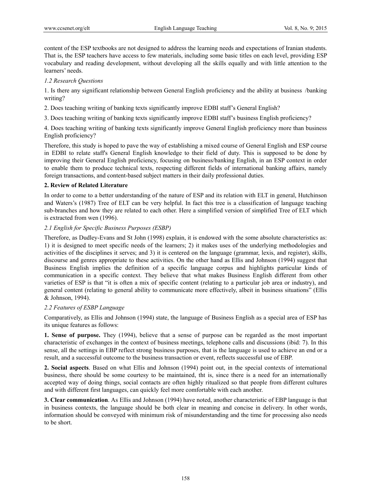content of the ESP textbooks are not designed to address the learning needs and expectations of Iranian students. That is, the ESP teachers have access to few materials, including some basic titles on each level, providing ESP vocabulary and reading development, without developing all the skills equally and with little attention to the learners' needs.

# *1.2 Research Questions*

1. Is there any significant relationship between General English proficiency and the ability at business /banking writing?

2. Does teaching writing of banking texts significantly improve EDBI staff's General English?

3. Does teaching writing of banking texts significantly improve EDBI staff's business English proficiency?

4. Does teaching writing of banking texts significantly improve General English proficiency more than business English proficiency?

Therefore, this study is hoped to pave the way of establishing a mixed course of General English and ESP course in EDBI to relate staff's General English knowledge to their field of duty. This is supposed to be done by improving their General English proficiency, focusing on business/banking English, in an ESP context in order to enable them to produce technical texts, respecting different fields of international banking affairs, namely foreign transactions, and content-based subject matters in their daily professional duties.

# **2. Review of Related Literature**

In order to come to a better understanding of the nature of ESP and its relation with ELT in general, Hutchinson and Waters's (1987) Tree of ELT can be very helpful. In fact this tree is a classification of language teaching sub-branches and how they are related to each other. Here a simplified version of simplified Tree of ELT which is extracted from wen (1996).

# *2.1 English for Specific Business Purposes (ESBP)*

Therefore, as Dudley-Evans and St John (1998) explain, it is endowed with the some absolute characteristics as: 1) it is designed to meet specific needs of the learners; 2) it makes uses of the underlying methodologies and activities of the disciplines it serves; and 3) it is centered on the language (grammar, lexis, and register), skills, discourse and genres appropriate to these activities. On the other hand as Ellis and Johnson (1994) suggest that Business English implies the definition of a specific language corpus and highlights particular kinds of communication in a specific context. They believe that what makes Business English different from other varieties of ESP is that "it is often a mix of specific content (relating to a particular job area or industry), and general content (relating to general ability to communicate more effectively, albeit in business situations" (Ellis & Johnson, 1994).

# *2.2 Features of ESBP Language*

Comparatively, as Ellis and Johnson (1994) state, the language of Business English as a special area of ESP has its unique features as follows:

**1. Sense of purpose.** They (1994), believe that a sense of purpose can be regarded as the most important characteristic of exchanges in the context of business meetings, telephone calls and discussions (ibid: 7). In this sense, all the settings in EBP reflect strong business purposes, that is the language is used to achieve an end or a result, and a successful outcome to the business transaction or event, reflects successful use of EBP.

**2. Social aspects**. Based on what Ellis and Johnson (1994) point out, in the special contexts of international business, there should be some courtesy to be maintained, tht is, since there is a need for an internationally accepted way of doing things, social contacts are often highly ritualized so that people from different cultures and with different first languages, can quickly feel more comfortable with each another.

**3. Clear communication**. As Ellis and Johnson (1994) have noted, another characteristic of EBP language is that in business contexts, the language should be both clear in meaning and concise in delivery. In other words, information should be conveyed with minimum risk of misunderstanding and the time for processing also needs to be short.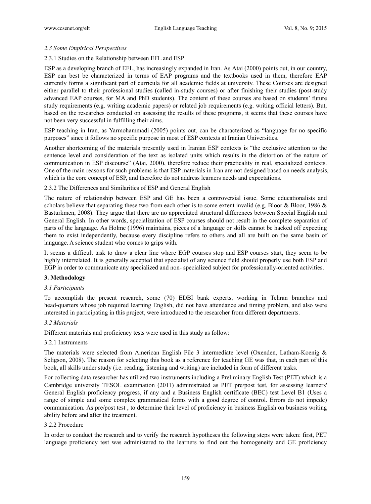# *2.3 Some Empirical Perspectives*

# 2.3.1 Studies on the Relationship between EFL and ESP

ESP as a developing branch of EFL, has increasingly expanded in Iran. As Atai (2000) points out, in our country, ESP can best be characterized in terms of EAP programs and the textbooks used in them, therefore EAP currently forms a significant part of curricula for all academic fields at university. These Courses are designed either parallel to their professional studies (called in-study courses) or after finishing their studies (post-study advanced EAP courses, for MA and PhD students). The content of these courses are based on students' future study requirements (e.g. writing academic papers) or related job requirements (e.g. writing official letters). But, based on the researches conducted on assessing the results of these programs, it seems that these courses have not been very successful in fulfilling their aims.

ESP teaching in Iran, as Yarmohammadi (2005) points out, can be characterized as "language for no specific purposes" since it follows no specific purpose in most of ESP contexts at Iranian Universities.

Another shortcoming of the materials presently used in Iranian ESP contexts is "the exclusive attention to the sentence level and consideration of the text as isolated units which results in the distortion of the nature of communication in ESP discourse" (Atai, 2000), therefore reduce their practicality in real, specialized contexts. One of the main reasons for such problems is that ESP materials in Iran are not designed based on needs analysis, which is the core concept of ESP, and therefore do not address learners needs and expectations.

# 2.3.2 The Differences and Similarities of ESP and General English

The nature of relationship between ESP and GE has been a controversial issue. Some educationalists and scholars believe that separating these two from each other is to some extent invalid (e.g. Bloor & Bloor, 1986  $\&$ Basturkmen, 2008). They argue that there are no appreciated structural differences between Special English and General English. In other words, specialization of ESP courses should not result in the complete separation of parts of the language. As Holme (1996) maintains, pieces of a language or skills cannot be hacked off expecting them to exist independently, because every discipline refers to others and all are built on the same basin of language. A science student who comes to grips with.

It seems a difficult task to draw a clear line where EGP courses stop and ESP courses start, they seem to be highly interrelated. It is generally accepted that specialist of any science field should properly use both ESP and EGP in order to communicate any specialized and non- specialized subject for professionally-oriented activities.

# **3. Methodology**

## *3.1 Participants*

To accomplish the present research, some (70) EDBI bank experts, working in Tehran branches and head-quarters whose job required learning English, did not have attendance and timing problem, and also were interested in participating in this project, were introduced to the researcher from different departments.

#### *3.2 Materials*

Different materials and proficiency tests were used in this study as follow:

#### 3.2.1 Instruments

The materials were selected from American English File 3 intermediate level (Oxenden, Latham-Koenig & Seligson, 2008). The reason for selecting this book as a reference for teaching GE was that, in each part of this book, all skills under study (i.e. reading, listening and writing) are included in form of different tasks.

For collecting data researcher has utilized two instruments including a Preliminary English Test (PET) which is a Cambridge university TESOL examination (2011) administrated as PET pre/post test, for assessing learners' General English proficiency progress, if any and a Business English certificate (BEC) test Level B1 (Uses a range of simple and some complex grammatical forms with a good degree of control. Errors do not impede) communication. As pre/post test , to determine their level of proficiency in business English on business writing ability before and after the treatment.

# 3.2.2 Procedure

In order to conduct the research and to verify the research hypotheses the following steps were taken: first, PET language proficiency test was administered to the learners to find out the homogeneity and GE proficiency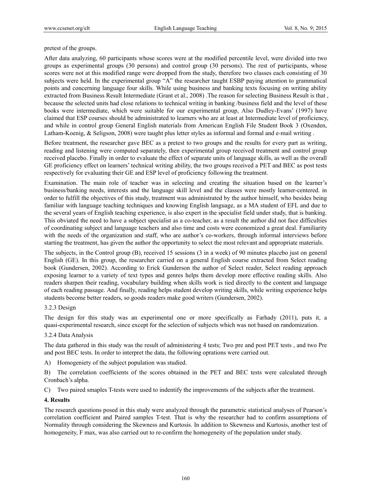pretest of the groups.

After data analyzing, 60 participants whose scores were at the modified percentile level, were divided into two groups as experimental groups (30 persons) and control group (30 persons). The rest of participants, whose scores were not at this modified range were dropped from the study, therefore two classes each consisting of 30 subjects were held. In the experimental group "A" the researcher taught ESBP paying attention to grammatical points and concerning language four skills. While using business and banking texts focusing on writing ability extracted from Business Result Intermediate (Grant et al., 2008) .The reason for selecting Business Result is that , because the selected units had close relations to technical writing in banking /business field and the level of these books were intermediate, which were suitable for our experimental group, Also Dudley-Evans' (1997) have claimed that ESP courses should be administrated to learners who are at least at Intermediate level of proficiency, and while in control group General English materials from American English File Student Book 3 (Oxenden, Latham-Koenig, & Seligson, 2008) were taught plus letter styles as informal and formal and e-mail writing .

Before treatment, the researcher gave BEC as a pretest to two groups and the results for every part as writing, reading and listening were computed separately, then experimental group received treatment and control group received placebo. Finally in order to evaluate the effect of separate units of language skills, as well as the overall GE proficiency effect on learners' technical writing ability, the two groups received a PET and BEC as post tests respectively for evaluating their GE and ESP level of proficiency following the treatment.

Examination. The main role of teacher was in selecting and creating the situation based on the learner's business/banking needs, interests and the language skill level and the classes were mostly learner-centered. in order to fulfill the objectives of this study, treatment was administrated by the author himself, who besides being familiar with language teaching techniques and knowing English language, as a MA student of EFL and due to the several years of English teaching experience, is also expert in the specialist field under study, that is banking. This obviated the need to have a subject specialist as a co-teacher, as a result the author did not face difficulties of coordinating subject and language teachers and also time and costs were economized a great deal. Familiarity with the needs of the organization and staff, who are author's co-workers, through informal interviews before starting the treatment, has given the author the opportunity to select the most relevant and appropriate materials.

The subjects, in the Control group (B), received 15 sessions (3 in a week) of 90 minutes placebo just on general English (GE). In this group, the researcher carried on a general English course extracted from Select reading book (Gundersen, 2002). According to Erick Gunderson the author of Select reader, Select reading approach exposing learner to a variety of text types and genres helps them develop more effective reading skills. Also readers sharpen their reading, vocabulary building when skills work is tied directly to the content and language of each reading passage. And finally, reading helps student develop writing skills, while writing experience helps students become better readers, so goods readers make good writers (Gundersen, 2002).

# 3.2.3 Design

The design for this study was an experimental one or more specifically as Farhady (2011), puts it, a quasi-experimental research, since except for the selection of subjects which was not based on randomization.

#### 3.2.4 Data Analysis

The data gathered in this study was the result of administering 4 tests; Two pre and post PET tests , and two Pre and post BEC tests. In order to interpret the data, the following oprations were carried out.

A) Homogeniety of the subject population was studied.

B) The correlation coefficients of the scores obtained in the PET and BEC tests were calculated through Cronbach's alpha.

C) Two paired smaples T-tests were used to indentify the improvements of the subjects after the treatment.

#### **4. Results**

The research questions posed in this study were analyzed through the parametric statistical analyses of Pearson's correlation coefficient and Paired samples T-test. That is why the researcher had to confirm assumptions of Normality through considering the Skewness and Kurtosis. In addition to Skewness and Kurtosis, another test of homogeneity, F max, was also carried out to re-confirm the homogeneity of the population under study.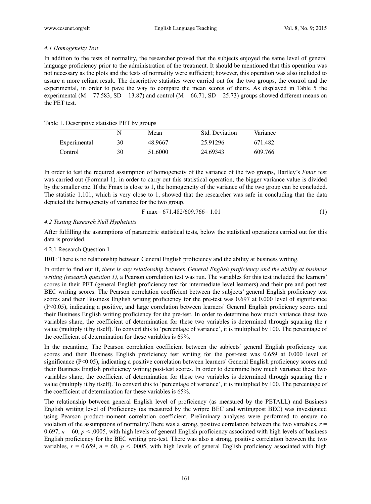# *4.1 Homogeneity Test*

In addition to the tests of normality, the researcher proved that the subjects enjoyed the same level of general language proficiency prior to the administration of the treatment. It should be mentioned that this operation was not necessary as the plots and the tests of normality were sufficient; however, this operation was also included to assure a more reliant result. The descriptive statistics were carried out for the two groups, the control and the experimental, in order to pave the way to compare the mean scores of theirs. As displayed in Table 5 the experimental (M = 77.583, SD = 13.87) and control (M = 66.71, SD = 25.73) groups showed different means on the PET test.

# Table 1. Descriptive statistics PET by groups

|              | N  | Mean    | Std. Deviation | Variance |
|--------------|----|---------|----------------|----------|
| Experimental | 30 | 48.9667 | 25.91296       | 671.482  |
| Control      | 30 | 51.6000 | 24.69343       | 609.766  |

In order to test the required assumption of homogeneity of the variance of the two groups, Hartley's *Fmax* test was carried out (Formual 1). in order to carry out this statistical operation, the bigger variance value is divided by the smaller one. If the Fmax is close to 1, the homogeneity of the variance of the two group can be concluded. The statistic 1.101, which is very close to 1, showed that the researcher was safe in concluding that the data depicted the homogeneity of variance for the two group.

$$
F \text{ max} = 671.482/609.766 = 1.01 \tag{1}
$$

# *4.2 Testing Research Null Hyphetetis*

After fulfilling the assumptions of parametric statistical tests, below the statistical operations carried out for this data is provided.

# 4.2.1 Research Question 1

**H01**: There is no relationship between General English proficiency and the ability at business writing.

In order to find out if, *there is any relationship between General English proficiency and the ability at business writing (research question 1),* a Pearson correlation test was run. The variables for this test included the learners' scores in their PET (general English proficiency test for intermediate level learners) and their pre and post test BEC writing scores. The Pearson correlation coefficient between the subjects' general English proficiency test scores and their Business English writing proficiency for the pre-test was 0.697 at 0.000 level of significance (P<0.05), indicating a positive, and large correlation between learners' General English proficiency scores and their Business English writing proficiency for the pre-test. In order to determine how much variance these two variables share, the coefficient of determination for these two variables is determined through squaring the r value (multiply it by itself). To convert this to 'percentage of variance', it is multiplied by 100. The percentage of the coefficient of determination for these variables is 69%.

In the meantime, The Pearson correlation coefficient between the subjects' general English proficiency test scores and their Business English proficiency test writing for the post-test was 0.659 at 0.000 level of significance (P<0.05), indicating a positive correlation between learners' General English proficiency scores and their Business English proficiency writing post-test scores. In order to determine how much variance these two variables share, the coefficient of determination for these two variables is determined through squaring the r value (multiply it by itself). To convert this to 'percentage of variance', it is multiplied by 100. The percentage of the coefficient of determination for these variables is 65%.

The relationship between general English level of proficiency (as measured by the PETALL) and Business English writing level of Proficiency (as measured by the wripre BEC and writingpost BEC) was investigated using Pearson product-moment correlation coefficient. Preliminary analyses were performed to ensure no violation of the assumptions of normality.There was a strong, positive correlation between the two variables, *r* = 0.697,  $n = 60$ ,  $p < .0005$ , with high levels of general English proficiency associated with high levels of business English proficiency for the BEC writing pre-test. There was also a strong, positive correlation between the two variables,  $r = 0.659$ ,  $n = 60$ ,  $p < .0005$ , with high levels of general English proficiency associated with high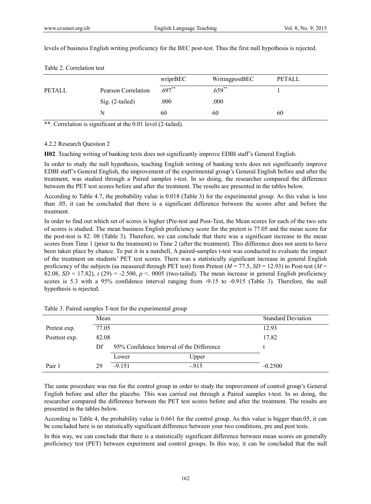levels of business English writing proficiency for the BEC post-test. Thus the first null hypothesis is rejected.

|               |                     | wriprBEC  | WritingpostBEC | PETALL |
|---------------|---------------------|-----------|----------------|--------|
| <b>PETALL</b> | Pearson Correlation | $.697***$ | $.659^{**}$    |        |
|               | Sig. (2-tailed)     | .000      | .000           |        |
|               | N                   | 60        | 60             | 60     |

Table 2. Correlation test

\*\*. Correlation is significant at the 0.01 level (2-tailed).

# 4.2.2 Research Question 2

**H02**. Teaching writing of banking texts does not significantly improve EDBI staff's General English.

In order to study the null hypothesis, teaching English writing of banking texts does not significantly improve EDBI staff's General English, the improvement of the experimental group's General English before and after the treatment, was studied through a Paired samples t-test. In so doing, the researcher compared the difference between the PET test scores before and after the treatment. The results are presented in the tables below.

According to Table 4.7, the probability value is 0.018 (Table 3) for the experimental group. As this value is less than .05, it can be concluded that there is a significant difference between the scores after and before the treatment.

In order to find out which set of scores is higher (Pre-test and Post-Test, the Mean scores for each of the two sets of scores is studied. The mean business English proficiency score for the pretest is 77.05 and the mean score for the post-test is 82. 08 (Table 3). Therefore, we can conclude that there was a significant increase in the mean scores from Time 1 (prior to the treatment) to Time 2 (after the treatment). This difference does not seem to have been taken place by chance. To put it in a nutshell, A paired-samples t-test was conducted to evaluate the impact of the treatment on students' PET test scores. There was a statistically significant increase in general English proficiency of the subjects (as measured through PET test) from Pretest ( $M = 77.5$ ,  $SD = 12.93$ ) to Post-test ( $M =$ 82.08,  $SD = 17.82$ ),  $t(29) = -2.500$ ,  $p < 0.005$  (two-tailed). The mean increase in general English proficiency scores is 5.3 with a 95% confidence interval ranging from -9.15 to -0.915 (Table 3). Therefore, the null hypothesis is rejected.

|               | Mean  |                                           |        | <b>Standard Deviation</b> |  |  |
|---------------|-------|-------------------------------------------|--------|---------------------------|--|--|
| Pretest exp.  | 77.05 |                                           |        | 12.93                     |  |  |
| Posttest exp. | 82.08 |                                           |        | 17.82                     |  |  |
|               | Df    | 95% Confidence Interval of the Difference |        |                           |  |  |
|               |       | Lower                                     | Upper  |                           |  |  |
| Pair 1        | 29    | $-9.151$                                  | $-915$ | $-0.2500$                 |  |  |

Table 3. Paired samples T-test for the experimental group

The same procedure was run for the control group in order to study the improvement of control group's General English before and after the placebo. This was carried out through a Paired samples t-test. In so doing, the researcher compared the difference between the PET test scores before and after the treatment. The results are presented in the tables below.

According to Table 4, the probability value is 0.661 for the control group. As this value is bigger than.05, it can be concluded here is no statistically significant difference between your two conditions, pre and post tests.

In this way, we can conclude that there is a statistically significant difference between mean scores on generally proficiency test (PET) between experiment and control groups. In this way, it can be concluded that the null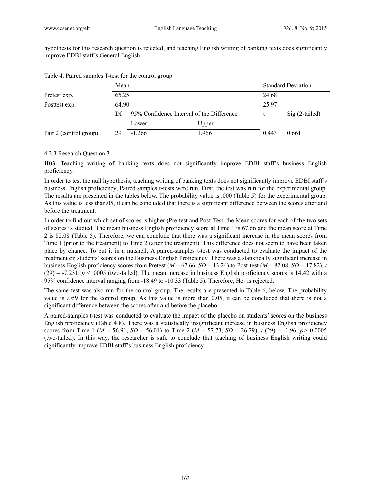hypothesis for this research question is rejected, and teaching English writing of banking texts does significantly improve EDBI staff's General English.

|                        | Mean  |                                           |  |       |  | <b>Standard Deviation</b> |                 |  |  |
|------------------------|-------|-------------------------------------------|--|-------|--|---------------------------|-----------------|--|--|
| Pretest exp.           | 65.25 |                                           |  |       |  | 24.68                     |                 |  |  |
| Posttest exp.          | 64.90 |                                           |  |       |  | 25.97                     |                 |  |  |
|                        | Df.   | 95% Confidence Interval of the Difference |  |       |  |                           | $Sig(2-tailed)$ |  |  |
|                        |       | Lower                                     |  | Upper |  |                           |                 |  |  |
| Pair 2 (control group) | 29    | $-1.266$                                  |  | 1.966 |  | 0.443                     | 0.661           |  |  |

Table 4. Paired samples T-test for the control group

## 4.2.3 Research Question 3

**H03.** Teaching writing of banking texts does not significantly improve EDBI staff's business English proficiency.

In order to test the null hypothesis, teaching writing of banking texts does not significantly improve EDBI staff's business English proficiency, Paired samples t-tests were run. First, the test was run for the experimental group. The results are presented in the tables below. The probability value is .000 (Table 5) for the experimental group. As this value is less than.05, it can be concluded that there is a significant difference between the scores after and before the treatment.

In order to find out which set of scores is higher (Pre-test and Post-Test, the Mean scores for each of the two sets of scores is studied. The mean business English proficiency score at Time 1 is 67.66 and the mean score at Time 2 is 82.08 (Table 5). Therefore, we can conclude that there was a significant increase in the mean scores from Time 1 (prior to the treatment) to Time 2 (after the treatment). This difference does not seem to have been taken place by chance. To put it in a nutshell, A paired-samples t-test was conducted to evaluate the impact of the treatment on students' scores on the Business English Proficiency. There was a statistically significant increase in business English proficiency scores from Pretest ( $M = 67.66$ ,  $SD = 13.24$ ) to Post-test ( $M = 82.08$ ,  $SD = 17.82$ ), *t*  $(29) = -7.231$ ,  $p < 0005$  (two-tailed). The mean increase in business English proficiency scores is 14.42 with a 95% confidence interval ranging from  $-18.49$  to  $-10.33$  (Table 5). Therefore, Ho<sub>3</sub> is rejected.

The same test was also run for the control group. The results are presented in Table 6, below. The probability value is .059 for the control group. As this value is more than 0.05, it can be concluded that there is not a significant difference between the scores after and before the placebo.

A paired-samples t-test was conducted to evaluate the impact of the placebo on students' scores on the business English proficiency (Table 4.8). There was a statistically insignificant increase in business English proficiency scores from Time 1 ( $M = 56.91$ ,  $SD = 56.01$ ) to Time 2 ( $M = 57.73$ ,  $SD = 26.79$ ),  $t(29) = -1.96$ ,  $p > 0.0005$ (two-tailed). In this way, the researcher is safe to conclude that teaching of business English writing could significantly improve EDBI staff's business English proficiency.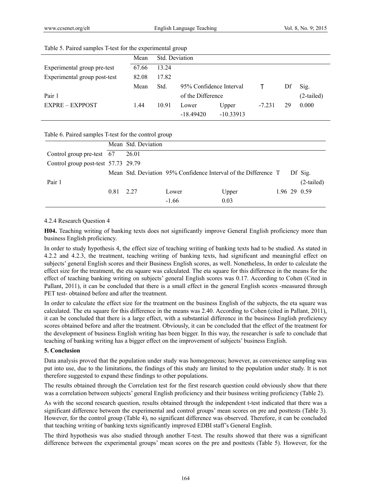|                              | Mean  | Std. Deviation    |                         |                      |          |    |              |
|------------------------------|-------|-------------------|-------------------------|----------------------|----------|----|--------------|
| Experimental group pre-test  | 67.66 | 13.24             |                         |                      |          |    |              |
| Experimental group post-test | 82.08 | 17.82             |                         |                      |          |    |              |
|                              | Mean  | Std.              | 95% Confidence Interval |                      |          | Df | Sig.         |
| Pair 1                       |       | of the Difference |                         |                      |          |    | $(2-tailed)$ |
| <b>EXPRE - EXPPOST</b>       | 1.44  | 10.91             | Lower<br>$-18.49420$    | Upper<br>$-10.33913$ | $-7.231$ | 29 | 0.000        |

#### Table 5. Paired samples T-test for the experimental group

## Table 6. Paired samples T-test for the control group

|                                     |           | Mean Std. Deviation |         |                                                                 |  |              |
|-------------------------------------|-----------|---------------------|---------|-----------------------------------------------------------------|--|--------------|
| Control group pre-test 67           |           | 26.01               |         |                                                                 |  |              |
| Control group post-test 57.73 29.79 |           |                     |         |                                                                 |  |              |
|                                     |           |                     |         | Mean Std. Deviation 95% Confidence Interval of the Difference T |  | Df Sig.      |
| Pair 1                              |           |                     |         |                                                                 |  | $(2-tailed)$ |
|                                     | 0.81 2.27 |                     | Lower   | Upper                                                           |  | 1.96 29 0.59 |
|                                     |           |                     | $-1.66$ | 0.03                                                            |  |              |

## 4.2.4 Research Question 4

**H04.** Teaching writing of banking texts does not significantly improve General English proficiency more than business English proficiency.

In order to study hypothesis 4, the effect size of teaching writing of banking texts had to be studied. As stated in 4.2.2 and 4.2.3, the treatment, teaching writing of banking texts, had significant and meaningful effect on subjects' general English scores and their Business English scores, as well. Nonetheless, In order to calculate the effect size for the treatment, the eta square was calculated. The eta square for this difference in the means for the effect of teaching banking writing on subjects' general English scores was 0.17. According to Cohen (Cited in Pallant, 2011), it can be concluded that there is a small effect in the general English scores -measured through PET test- obtained before and after the treatment.

In order to calculate the effect size for the treatment on the business English of the subjects, the eta square was calculated. The eta square for this difference in the means was 2.40. According to Cohen (cited in Pallant, 2011), it can be concluded that there is a large effect, with a substantial difference in the business English proficiency scores obtained before and after the treatment. Obviously, it can be concluded that the effect of the treatment for the development of business English writing has been bigger. In this way, the researcher is safe to conclude that teaching of banking writing has a bigger effect on the improvement of subjects' business English.

# **5. Conclusion**

Data analysis proved that the population under study was homogeneous; however, as convenience sampling was put into use, due to the limitations, the findings of this study are limited to the population under study. It is not therefore suggested to expand these findings to other populations.

The results obtained through the Correlation test for the first research question could obviously show that there was a correlation between subjects' general English proficiency and their business writing proficiency (Table 2).

As with the second research question, results obtained through the independent t-test indicated that there was a significant difference between the experimental and control groups' mean scores on pre and posttests (Table 3). However, for the control group (Table 4), no significant difference was observed. Therefore, it can be concluded that teaching writing of banking texts significantly improved EDBI staff's General English.

The third hypothesis was also studied through another T-test. The results showed that there was a significant difference between the experimental groups' mean scores on the pre and posttests (Table 5). However, for the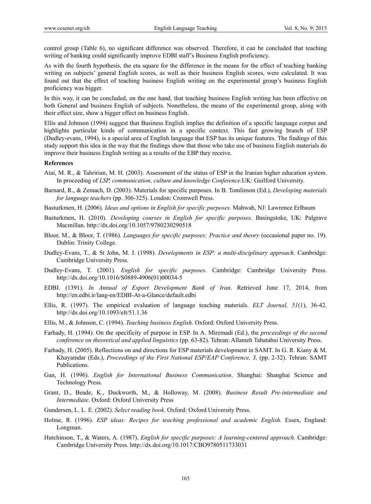control group (Table 6), no significant difference was observed. Therefore, it can be concluded that teaching writing of banking could significantly improve EDBI staff's Business English proficiency.

As with the fourth hypothesis, the eta square for the difference in the means for the effect of teaching banking writing on subjects' general English scores, as well as their business English scores, were calculated. It was found out that the effect of teaching business English writing on the experimental group's business English proficiency was bigger.

In this way, it can be concluded, on the one hand, that teaching business English writing has been effective on both General and business English of subjects. Nonetheless, the means of the experimental group, along with their effect size, show a bigger effect on business English.

Ellis and Johnson (1994) suggest that Business English implies the definition of a specific language corpus and highlights particular kinds of communication in a specific context. This fast growing branch of ESP (Dudley-evans, 1994), is a special area of English language that ESP has its unique features. The findings of this study support this idea in the way that the findings show that those who take use of business English materials do improve their business English writing as a results of the EBP they receive.

## **References**

- Atai, M. R., & Tahririan, M. H. (2003). Assessment of the status of ESP in the Iranian higher education system. In proceeding of *LSP, communication, culture and knowledge Conference*.UK: Guilford University.
- Barnard, R., & Zemach, D. (2003). Materials for specific purposes. In B. Tomlinson (Ed.), *Developing materials for language teachers* (pp. 306-325). London: Cromwell Press.
- Basturkmen, H. (2006). *Ideas and options in English for specific purposes*. Mahwah, NJ: Lawrence Erlbaum
- Basturkmen, H. (2010). *Developing courses in English for specific purposes.* Basingstoke, UK: Palgrave Macmillan. http://dx.doi.org/10.1057/9780230290518
- Bloor, M., & Bloor, T. (1986). *Languages for specific purposes: Practice and theory* (occasional paper no. 19). Dublin: Trinity College.
- Dudley-Evans, T., & St John, M. J. (1998). *Developments in ESP: a multi-disciplinary approach.* Cambridge: Cambridge University Press.
- Dudley-Evans, T. (2001). *English for specific purposes*. Cambridge: Cambridge University Press. http://dx.doi.org/10.1016/S0889-4906(01)00034-5
- EDBI. (1391). *In Annual of Export Development Bank of Iran*. Retrieved June 17, 2014, from http://en.edbi.ir/lang-en/EDBI-At-a-Glance/default.edbi
- Ellis, R. (1997). The empirical evaluation of language teaching materials. *ELT Journal, 51*(1), 36-42. http://dx.doi.org/10.1093/elt/51.1.36
- Ellis, M., & Johnson, C. (1994). *Teaching business English*. Oxford: Oxford University Press.
- Farhady, H. (1994). On the specificity of purpose in ESP. In A. Miremadi (Ed.), the *proceedings of the second conference on theoretical and applied linguistics* (pp. 63-82). Tehran: Allameh Tabatabai University Press.
- Farhady, H. (2005). Reflections on and directions for ESP materials development in SAMT. In G. R. Kiany & M. Khayamdar (Eds.), *Proceedings of the First National ESP/EAP Conference, 3,* (pp. 2-32). Tehran: SAMT Publications.
- Gan, H. (1996). *English for International Business Communication*. Shanghai: Shanghai Science and Technology Press.
- Grant, D., Beade, K., Duckworth, M., & Holloway, M. (2008). *Business Result Pre-intermediate and Intermediate*. Oxford: Oxford University Press
- Gundersen, L. L. E. (2002). *Select reading book*. Oxford: Oxford University Press.
- Holme, R. (1996). *ESP ideas: Recipes for teaching professional and academic English.* Essex, England: Longman.
- Hutchinson, T., & Waters, A. (1987). *English for specific purposes: A learning-centered approach.* Cambridge: Cambridge University Press. http://dx.doi.org/10.1017/CBO9780511733031